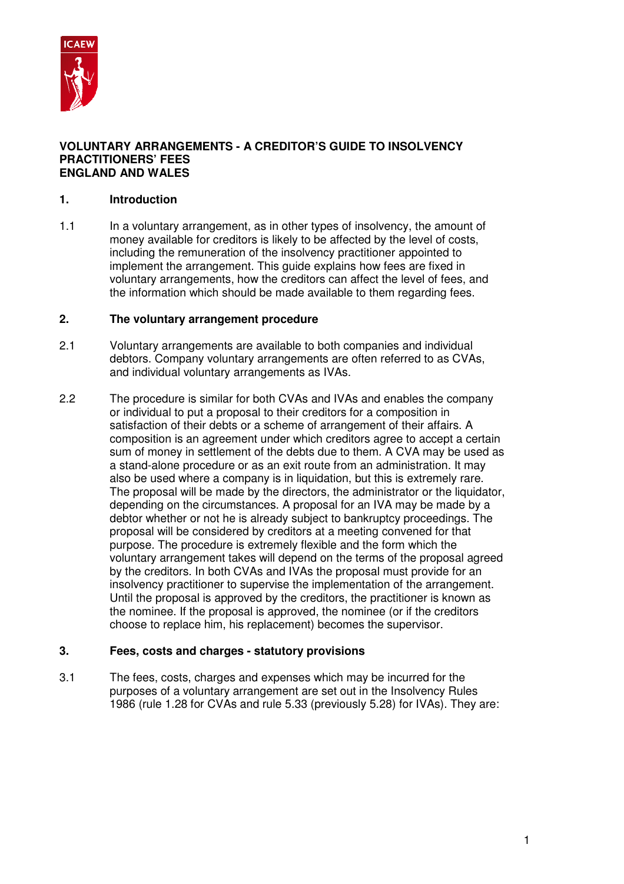

#### **VOLUNTARY ARRANGEMENTS - A CREDITOR'S GUIDE TO INSOLVENCY PRACTITIONERS' FEES ENGLAND AND WALES**

# **1. Introduction**

1.1 In a voluntary arrangement, as in other types of insolvency, the amount of money available for creditors is likely to be affected by the level of costs, including the remuneration of the insolvency practitioner appointed to implement the arrangement. This guide explains how fees are fixed in voluntary arrangements, how the creditors can affect the level of fees, and the information which should be made available to them regarding fees.

### **2. The voluntary arrangement procedure**

- 2.1 Voluntary arrangements are available to both companies and individual debtors. Company voluntary arrangements are often referred to as CVAs, and individual voluntary arrangements as IVAs.
- 2.2 The procedure is similar for both CVAs and IVAs and enables the company or individual to put a proposal to their creditors for a composition in satisfaction of their debts or a scheme of arrangement of their affairs. A composition is an agreement under which creditors agree to accept a certain sum of money in settlement of the debts due to them. A CVA may be used as a stand-alone procedure or as an exit route from an administration. It may also be used where a company is in liquidation, but this is extremely rare. The proposal will be made by the directors, the administrator or the liquidator, depending on the circumstances. A proposal for an IVA may be made by a debtor whether or not he is already subject to bankruptcy proceedings. The proposal will be considered by creditors at a meeting convened for that purpose. The procedure is extremely flexible and the form which the voluntary arrangement takes will depend on the terms of the proposal agreed by the creditors. In both CVAs and IVAs the proposal must provide for an insolvency practitioner to supervise the implementation of the arrangement. Until the proposal is approved by the creditors, the practitioner is known as the nominee. If the proposal is approved, the nominee (or if the creditors choose to replace him, his replacement) becomes the supervisor.

### **3. Fees, costs and charges - statutory provisions**

3.1 The fees, costs, charges and expenses which may be incurred for the purposes of a voluntary arrangement are set out in the Insolvency Rules 1986 (rule 1.28 for CVAs and rule 5.33 (previously 5.28) for IVAs). They are: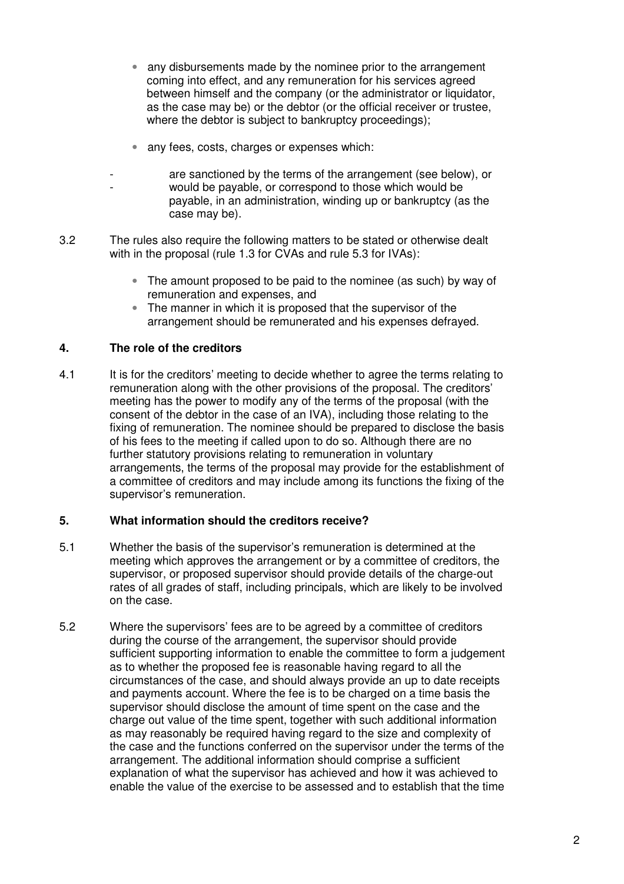- any disbursements made by the nominee prior to the arrangement coming into effect, and any remuneration for his services agreed between himself and the company (or the administrator or liquidator, as the case may be) or the debtor (or the official receiver or trustee, where the debtor is subject to bankruptcy proceedings);
- any fees, costs, charges or expenses which:
- $\sim$   $\sim$   $$ are sanctioned by the terms of the arrangement (see below), or would be payable, or correspond to those which would be payable, in an administration, winding up or bankruptcy (as the case may be).
- 3.2 The rules also require the following matters to be stated or otherwise dealt with in the proposal (rule 1.3 for CVAs and rule 5.3 for IVAs):
	- The amount proposed to be paid to the nominee (as such) by way of remuneration and expenses, and
	- The manner in which it is proposed that the supervisor of the arrangement should be remunerated and his expenses defrayed.

# **4. The role of the creditors**

-

4.1 It is for the creditors' meeting to decide whether to agree the terms relating to remuneration along with the other provisions of the proposal. The creditors' meeting has the power to modify any of the terms of the proposal (with the consent of the debtor in the case of an IVA), including those relating to the fixing of remuneration. The nominee should be prepared to disclose the basis of his fees to the meeting if called upon to do so. Although there are no further statutory provisions relating to remuneration in voluntary arrangements, the terms of the proposal may provide for the establishment of a committee of creditors and may include among its functions the fixing of the supervisor's remuneration.

### **5. What information should the creditors receive?**

- 5.1 Whether the basis of the supervisor's remuneration is determined at the meeting which approves the arrangement or by a committee of creditors, the supervisor, or proposed supervisor should provide details of the charge-out rates of all grades of staff, including principals, which are likely to be involved on the case.
- 5.2 Where the supervisors' fees are to be agreed by a committee of creditors during the course of the arrangement, the supervisor should provide sufficient supporting information to enable the committee to form a judgement as to whether the proposed fee is reasonable having regard to all the circumstances of the case, and should always provide an up to date receipts and payments account. Where the fee is to be charged on a time basis the supervisor should disclose the amount of time spent on the case and the charge out value of the time spent, together with such additional information as may reasonably be required having regard to the size and complexity of the case and the functions conferred on the supervisor under the terms of the arrangement. The additional information should comprise a sufficient explanation of what the supervisor has achieved and how it was achieved to enable the value of the exercise to be assessed and to establish that the time